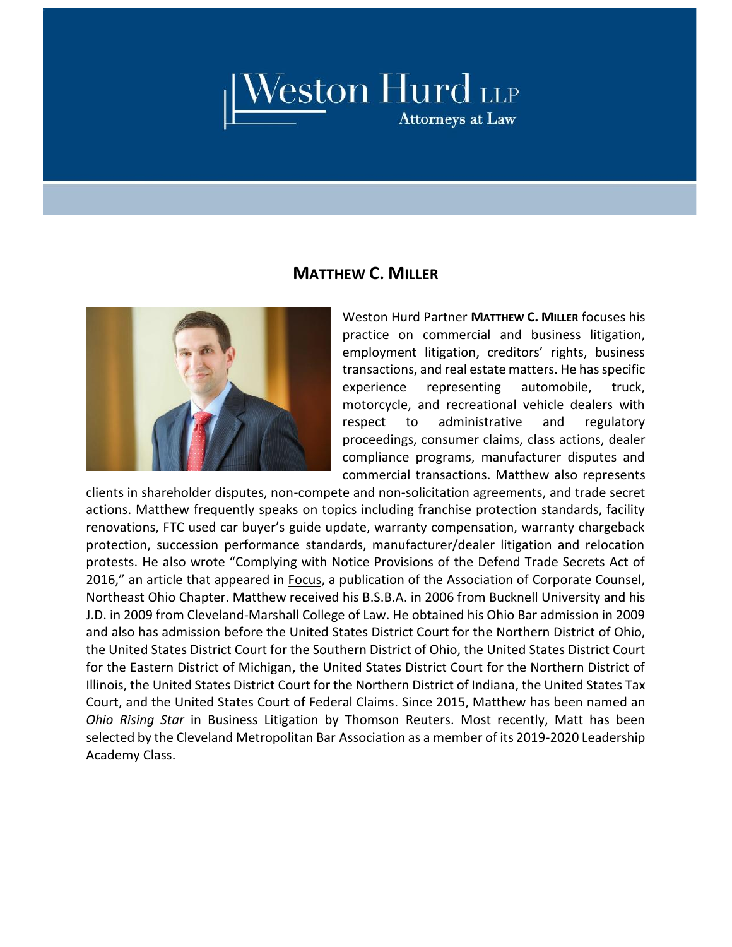## $\overline{\underline{\quad\quad}}$   $\overline{\phantom{0}}$   $\overline{\phantom{0}}$   $\overline{\phantom{0}}$   $\overline{\phantom{0}}$   $\overline{\phantom{0}}$   $\overline{\phantom{0}}$   $\overline{\phantom{0}}$   $\overline{\phantom{0}}$   $\overline{\phantom{0}}$   $\overline{\phantom{0}}$   $\overline{\phantom{0}}$   $\overline{\phantom{0}}$   $\overline{\phantom{0}}$   $\overline{\phantom{0}}$   $\overline{\phantom{0}}$   $\overline{\phantom{0}}$   $\overline{\phantom{0}}$   $\overline$

## **MATTHEW C. MILLER**



Weston Hurd Partner **MATTHEW C. MILLER** focuses his practice on commercial and business litigation, employment litigation, creditors' rights, business transactions, and real estate matters. He has specific experience representing automobile, truck, motorcycle, and recreational vehicle dealers with respect to administrative and regulatory proceedings, consumer claims, class actions, dealer compliance programs, manufacturer disputes and commercial transactions. Matthew also represents

clients in shareholder disputes, non-compete and non-solicitation agreements, and trade secret actions. Matthew frequently speaks on topics including franchise protection standards, facility renovations, FTC used car buyer's guide update, warranty compensation, warranty chargeback protection, succession performance standards, manufacturer/dealer litigation and relocation protests. He also wrote "Complying with Notice Provisions of the Defend Trade Secrets Act of 2016," an article that appeared in Focus, a publication of the Association of Corporate Counsel, Northeast Ohio Chapter. Matthew received his B.S.B.A. in 2006 from Bucknell University and his J.D. in 2009 from Cleveland-Marshall College of Law. He obtained his Ohio Bar admission in 2009 and also has admission before the United States District Court for the Northern District of Ohio, the United States District Court for the Southern District of Ohio, the United States District Court for the Eastern District of Michigan, the United States District Court for the Northern District of Illinois, the United States District Court for the Northern District of Indiana, the United States Tax Court, and the United States Court of Federal Claims. Since 2015, Matthew has been named an *Ohio Rising Star* in Business Litigation by Thomson Reuters. Most recently, Matt has been selected by the Cleveland Metropolitan Bar Association as a member of its 2019-2020 Leadership Academy Class.